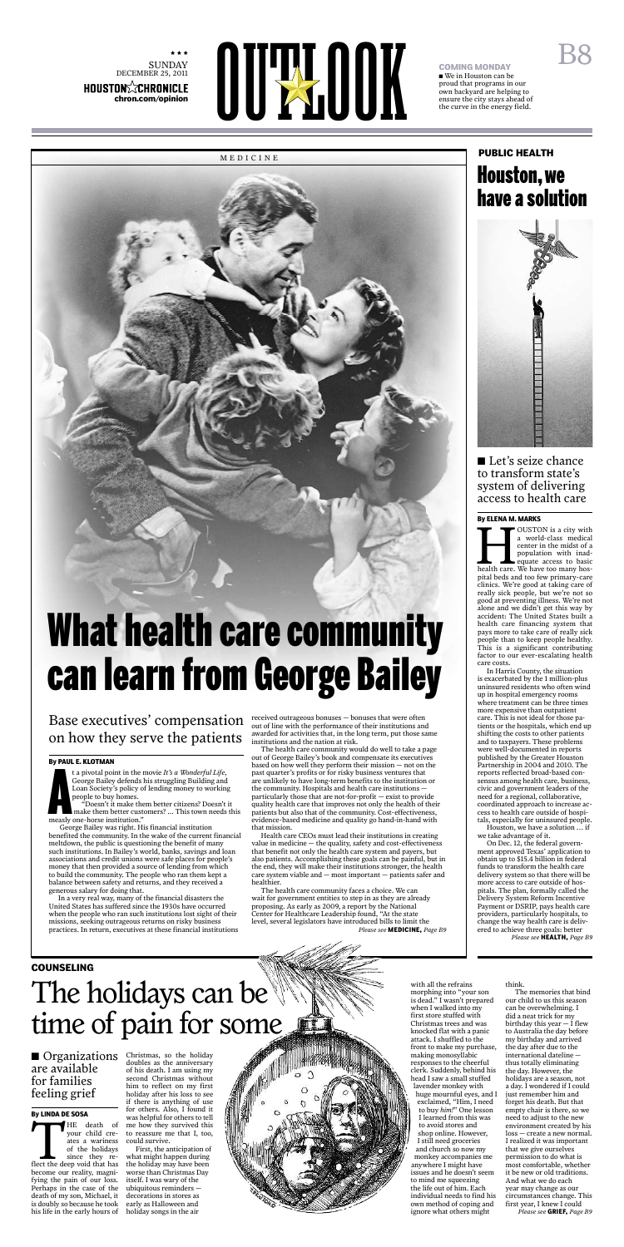★ ★ ★  $\begin{array}{c} \rm{SUNDAY} \\ \rm{DECEMBER}\ 25, \, 2011 \end{array}$ 

# NUSTON<sup>2</sup><br>
ROUSTON<sup>2</sup><br>
Chron.com/opinion<br>
Chron.com/opinion

# **COMING MONDAY**

• We in Houston can be proud that programs in our own backyard are helping to ensure the city stays ahead of the curve in the energy field.

t a pivotal point in the 1<br>George Bailey defends 1<br>Loan Society's policy of<br>people to buy homes.<br>"Doesn't it make the make them better cust<br>measly one-horse institution." t a pivotal point in the movie *It's a Wonderful Life*, George Bailey defends his struggling Building and Loan Society's policy of lending money to working people to buy homes.

"Doesn't it make them better citizens? Doesn't it make them better customers? ... This town needs this

George Bailey was right. His financial institution benefited the community. In the wake of the current financial meltdown, the public is questioning the benefit of many such institutions. In Bailey's world, banks, savings and loan associations and credit unions were safe places for people's money that then provided a source of lending from which to build the community. The people who ran them kept a balance between safety and returns, and they received a generous salary for doing that.

In a very real way, many of the financial disasters the United States has suffered since the 1930s have occurred when the people who ran such institutions lost sight of their missions, seeking outrageous returns on risky business practices. In return, executives at these financial institutions

### **Base executives' compensation**  $\frac{1}{\text{out of line with the performance of their institutions and the performance of their institutions.}$ on how they serve the patients

out of line with the performance of their institutions and awarded for activities that, in the long term, put those same institutions and the nation at risk.



OUSTON is a city with<br>
a world-class medical<br>
center in the midst of a<br>
population with inad-<br>
equate access to basic<br>
health care. We have too many hos-<br>
poital beds and too few primary-care OUSTON is a city with a world-class medical center in the midst of a population with inadequate access to basic pital beds and too few primary-care clinics. We're good at taking care of really sick people, but we're not so good at preventing illness. We're not alone and we didn't get this way by accident: The United States built a health care financing system that pays more to take care of really sick people than to keep people healthy. This is a significant contributing factor to our ever-escalating health care costs.

The health care community would do well to take a page out of George Bailey's book and compensate its executives based on how well they perform their mission — not on the past quarter's profits or for risky business ventures that are unlikely to have long-term benefits to the institution or the community. Hospitals and health care institutions particularly those that are not-for-profit — exist to provide quality health care that improves not only the health of their patients but also that of the community. Cost-effectiveness, evidence-based medicine and quality go hand-in-hand with that mission.

Health care CEOs must lead their institutions in creating value in medicine — the quality, safety and cost-effectiveness that benefit not only the health care system and payers, but also patients. Accomplishing these goals can be painful, but in the end, they will make their institutions stronger, the health care system viable and — most important — patients safer and healthier.

■ Let's seize chance to transform state's system of delivering access to health care

#### $\blacksquare$  Organizations are available for families feeling grief

THE death of<br>your child cre-<br>ates a wariness<br>of the holidays<br>since they re-<br>flect the deep void that has<br>become our reality. magni-HE death of your child creates a wariness of the holidays since they rebecome our reality, magnifying the pain of our loss. Perhaps in the case of the death of my son, Michael, it is doubly so because he took his life in the early hours of

The health care community faces a choice. We can wait for government entities to step in as they are already proposing. As early as 2009, a report by the National Center for Healthcare Leadership found, "At the state level, several legislators have introduced bills to limit the *Please see* **MEDICINE,** *Page B9*

#### **By PAUL E. KLOTMAN**

# The holidays can be time of pain for some

## Houston,we have a solution **PUBLIC HEALTH**



In Harris County, the situation is exacerbated by the 1 million-plus uninsured residents who often wind up in hospital emergency rooms where treatment can be three tim more expensive than outpatient care. This is not ideal for those patients or the hospitals, which end up shifting the costs to other patients and to taxpayers. These problems were well-documented in reports published by the Greater Houston Partnership in 2004 and 2010. The reports reflected broad-based consensus among health care, business, civic and government leaders of the need for a regional, collaborative, coordinated approach to increase access to health care outside of hospitals, especially for uninsured people. Houston, we have a solution … if we take advantage of it. On Dec. 12, the federal government approved Texas' application to obtain up to \$15.4 billion in federal funds to transform the health care delivery system so that there will be more access to care outside of hospitals. The plan, formally called the Delivery System Reform Incentive Payment or DSRIP, pays health care providers, particularly hospitals, to change the way health care is delivered to achieve three goals: better *Please see* **HEALTH,** *Page B9*

#### **By ELENA M. MARKS**

#### **By LINDA DE SOSA**

#### **COUNSELING**

*Please see* **GRIEF,** *Page B9*

Christmas, so the holiday doubles as the anniversary of his death. I am using my second Christmas without him to reflect on my first holiday after his loss to see if there is anything of use for others. Also, I found it was helpful for others to tell me how they survived this to reassure me that I, too, could survive.

First, the anticipation of what might happen during the holiday may have been worse than Christmas Day itself. I was wary of the ubiquitous reminders decorations in stores as early as Halloween and holiday songs in the air



with all the refrains morphing into "your son is dead." I wasn't prepared when I walked into my first store stuffed with Christmas trees and was knocked flat with a panic attack. I shuffled to the front to make my purchase, making monosyllabic responses to the cheerful clerk. Suddenly, behind his head I saw a small stuffed lavender monkey with huge mournful eyes, and I exclaimed, "Him, I need to buy *him!*" One lesson I learned from this was to avoid stores and shop online. However, I still need groceries and church so now my monkey accompanies me anywhere I might have issues and he doesn't seem to mind me squeezing the life out of him. Each individual needs to find his own method of coping and ignore what others might

think.

The memories that bind our child to us this season can be overwhelming. I did a neat trick for my birthday this year — I flew to Australia the day before my birthday and arrived the day after due to the international dateline thus totally eliminating the day. However, the holidays are a season, not a day. I wondered if I could just remember him and forget his death. But that empty chair is there, so we need to adjust to the new environment created by his loss — create a new normal. I realized it was important that we give ourselves permission to do what is most comfortable, whether it be new or old traditions. And what we do each year may change as our circumstances change. This first year, I knew I could